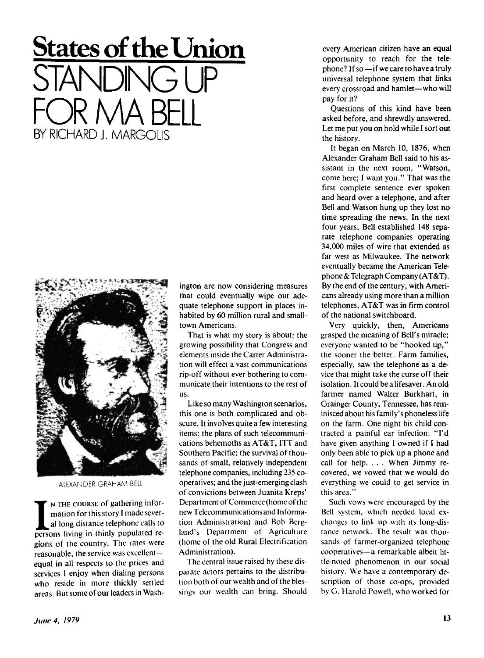## **States of the Union** STANDING UP FOR MA BELL BY RICHARD J. MARGOLIS



ALEXANDER GRAHAM BELL

N THE COURSE of gathering information for this story I made several long distance telephone calls to persons living in thinly populated re- N THE COURSE of gathering information for this story I made several long distance telephone calls to gions of the country. The rates were reasonable, the service was excellent equal in all respects to the prices and services I enjoy when dialing persons who reside in more thickly settled areas. But some of our leaders in Washington are now considering measures that could eventually wipe out adequate telephone support in places inhabited by 60 million rural and smalltown Americans.

That is what my story is about: the growing possibility that Congress and elements inside the Carter Administration will effect a vast communications rip-off without ever bothering to communicate their intentions to the rest of US.

Like so many Washington scenarios, this one is both complicated and obscure. It involves quite a few interesting items: the plans of such telecommunications behemoths as AT&T, ITT and Southern Pacific; the survival of thousands of small, relatively independent telephone companies, including 235 cooperatives; and the just-emerging clash of convictions between Juanita Kreps' Department of Commerce (home of the new Telecommunications and Information Administration) and Bob Bergland's Department of Agriculture (home of the old Rural Electrification Administration).

The central issue raised by these disparate actors pertains to the distribution both of our wealth and of the blessings our wealth can bring. Should

every American citizen have an equal opportunity to reach for the telephone? If so —if we care to have a truly universal telephone system that links every crossroad and hamlet—who will pay for it?

Questions of this kind have been asked before, and shrewdly answered. Let me put you on hold while I sort out the history.

It began on March 10, 1876, when Alexander Graham Bell said to his assistant in the next room, "Watson, come here; I want you." That was the first complete sentence ever spoken and heard over a telephone, and after Bell and Watson hung up they lost no time spreading the news. In the next four years, Bell established 148 separate telephone companies operating 34,000 miles of wire that extended as far west as Milwaukee. The network eventually became the American Telephone & Telegraph Company (AT&T). By the end of the century, with Americans already using more than a million telephones, AT&T was in firm control of the national switchboard.

Very quickly, then, Americans grasped the meaning of Bell's miracle; everyone wanted to be "hooked up," the sooner the better. Farm families, especially, saw the telephone as a device that might take the curse off their isolation. It could be a lifesaver. An old farmer named Walter Burkhart, in Grainger County, Tennessee, has reminisced about his family's phoneless life on the farm. One night his child contracted a painful ear infection: "I'd have given anything I owned if I had only been able to pick up a phone and call for help. . . . When Jimmy recovered, we vowed that we would do everything we could to get service in this area."

Such vows were encouraged by the Bell system, which needed local exchanges to link up with its long-distance network. The result was thousands of farmer-organized telephone cooperatives—a remarkable albeit little-noted phenomenon in our social history. We have a contemporary description of those co-ops, provided by G. Harold Powell, who worked for